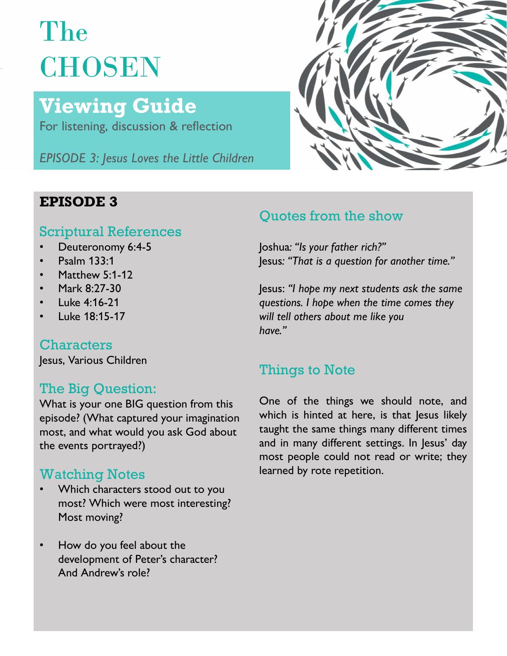# The **CHOSEN**

## Viewing Guide

For listening, discussion & reflection

EPISODE 3: Jesus Loves the Little Children

### Scriptural References

- 
- Psalm 133:1
- Matthew 5:1-12
- Mark 8:27-30
- Luke 4:16-21
- Luke 18:15-17

### **Characters**

Jesus, Various Children

### The Big Question:

the events portrayed?)

- Which characters stood out to you most? Which were most interesting? Most moving?
- How do you feel about the development of Peter's character? And Andrew's role?



## **EPISODE 3**<br>Cuotes from the show

**Deuteronomy 6:4-5 b loshua:** "Is your father rich?"

have." Quotes from the show<br>Joshua: "Is your father rich?"<br>Jesus: "That is a question for another time."<br>Jesus: "I hope my next students ask the same<br>questions. I hope when the time comes they<br>will tell others about me like you<br>T

What is your one BIG question from this Che of the things we should note, and<br>episode? (What captured your imagination which is hinted at here, is that Jesus likely episode? (What captured your imagination which is hinted at here, is that Jesus likely<br>most and what would you ask God about taught the same things many different times most, and what would you ask God about the same things many different times<br>the events portraved?) Watching Notes **Matching Notes Example 20** I learned by rote repetition. Quotes from the show<br>Joshua: "Is your father rich?"<br>Jesus: "That is a question for another time."<br>Jesus: "I hope my next students ask the same<br>questions. I hope when the time comes they<br>will tell others about me like you<br>h Quotes from the show<br>Joshua: "Is your father rich?"<br>Jesus: "That is a question for another time."<br>Jesus: "I hope my next students ask the same<br>questions. I hope when the time comes they<br>will tell others about me like you<br>h Joshua: "Is your father rich?"<br>Jesus: "That is a question for another time."<br>Jesus: "I hope my next students ask the same<br>questions. I hope when the time comes they<br>will tell others about me like you<br>have."<br>Things to Note<br> Joshua: "Is your father rich?"<br>Jesus: "That is a question for another time."<br>Jesus: "I hope my next students ask the same<br>questions. I hope when the time comes they<br>will tell others about me like you<br>have."<br>Things to Note<br> Jesus: "That is a question for another time."<br>Jesus: "I hope my next students ask the same<br>questions. I hope when the time comes they<br>will tell others about me like you<br>have."<br>Things to Note<br>One of the things we should not Francesons. Thope my next students ask the same<br>questions. I hope when the time comes they<br>will tell others about me like you<br>have."<br>Things to Note<br>One of the things we should note, and<br>which is hinted at here, is that Jes